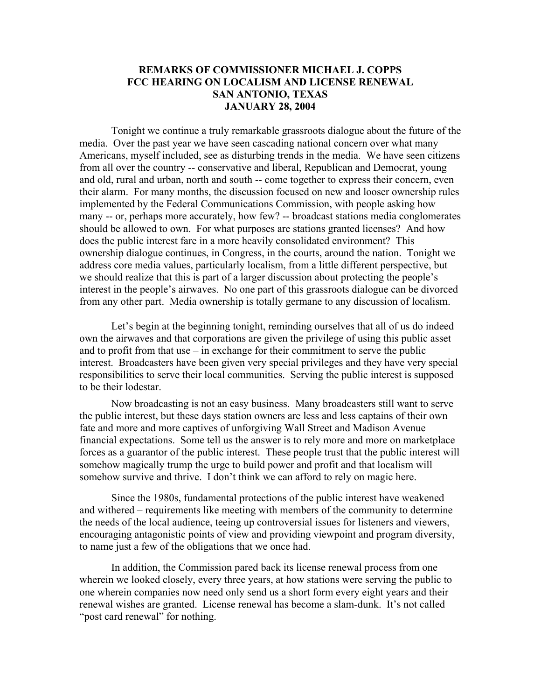## **REMARKS OF COMMISSIONER MICHAEL J. COPPS FCC HEARING ON LOCALISM AND LICENSE RENEWAL SAN ANTONIO, TEXAS JANUARY 28, 2004**

Tonight we continue a truly remarkable grassroots dialogue about the future of the media. Over the past year we have seen cascading national concern over what many Americans, myself included, see as disturbing trends in the media. We have seen citizens from all over the country -- conservative and liberal, Republican and Democrat, young and old, rural and urban, north and south -- come together to express their concern, even their alarm. For many months, the discussion focused on new and looser ownership rules implemented by the Federal Communications Commission, with people asking how many -- or, perhaps more accurately, how few? -- broadcast stations media conglomerates should be allowed to own. For what purposes are stations granted licenses? And how does the public interest fare in a more heavily consolidated environment? This ownership dialogue continues, in Congress, in the courts, around the nation. Tonight we address core media values, particularly localism, from a little different perspective, but we should realize that this is part of a larger discussion about protecting the people's interest in the people's airwaves. No one part of this grassroots dialogue can be divorced from any other part. Media ownership is totally germane to any discussion of localism.

Let's begin at the beginning tonight, reminding ourselves that all of us do indeed own the airwaves and that corporations are given the privilege of using this public asset – and to profit from that use  $-$  in exchange for their commitment to serve the public interest. Broadcasters have been given very special privileges and they have very special responsibilities to serve their local communities. Serving the public interest is supposed to be their lodestar.

Now broadcasting is not an easy business. Many broadcasters still want to serve the public interest, but these days station owners are less and less captains of their own fate and more and more captives of unforgiving Wall Street and Madison Avenue financial expectations. Some tell us the answer is to rely more and more on marketplace forces as a guarantor of the public interest. These people trust that the public interest will somehow magically trump the urge to build power and profit and that localism will somehow survive and thrive. I don't think we can afford to rely on magic here.

Since the 1980s, fundamental protections of the public interest have weakened and withered – requirements like meeting with members of the community to determine the needs of the local audience, teeing up controversial issues for listeners and viewers, encouraging antagonistic points of view and providing viewpoint and program diversity, to name just a few of the obligations that we once had.

In addition, the Commission pared back its license renewal process from one wherein we looked closely, every three years, at how stations were serving the public to one wherein companies now need only send us a short form every eight years and their renewal wishes are granted. License renewal has become a slam-dunk. It's not called "post card renewal" for nothing.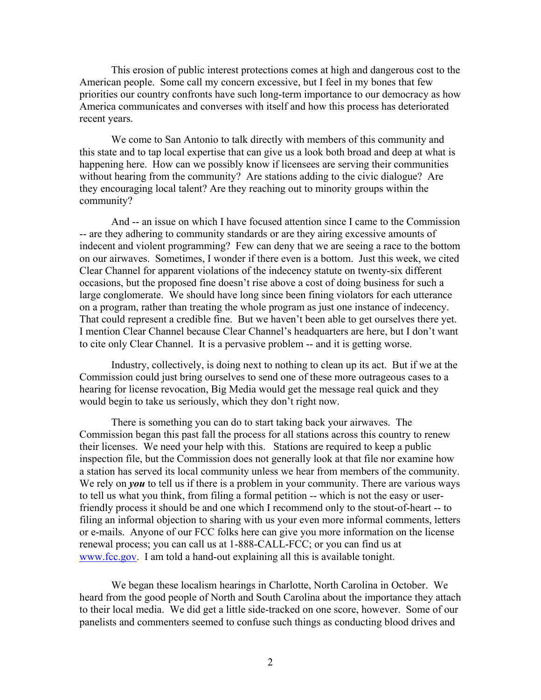This erosion of public interest protections comes at high and dangerous cost to the American people. Some call my concern excessive, but I feel in my bones that few priorities our country confronts have such long-term importance to our democracy as how America communicates and converses with itself and how this process has deteriorated recent years.

We come to San Antonio to talk directly with members of this community and this state and to tap local expertise that can give us a look both broad and deep at what is happening here. How can we possibly know if licensees are serving their communities without hearing from the community? Are stations adding to the civic dialogue? Are they encouraging local talent? Are they reaching out to minority groups within the community?

And -- an issue on which I have focused attention since I came to the Commission -- are they adhering to community standards or are they airing excessive amounts of indecent and violent programming? Few can deny that we are seeing a race to the bottom on our airwaves. Sometimes, I wonder if there even is a bottom. Just this week, we cited Clear Channel for apparent violations of the indecency statute on twenty-six different occasions, but the proposed fine doesn't rise above a cost of doing business for such a large conglomerate. We should have long since been fining violators for each utterance on a program, rather than treating the whole program as just one instance of indecency. That could represent a credible fine. But we haven't been able to get ourselves there yet. I mention Clear Channel because Clear Channel's headquarters are here, but I don't want to cite only Clear Channel. It is a pervasive problem -- and it is getting worse.

Industry, collectively, is doing next to nothing to clean up its act. But if we at the Commission could just bring ourselves to send one of these more outrageous cases to a hearing for license revocation, Big Media would get the message real quick and they would begin to take us seriously, which they don't right now.

There is something you can do to start taking back your airwaves. The Commission began this past fall the process for all stations across this country to renew their licenses. We need your help with this. Stations are required to keep a public inspection file, but the Commission does not generally look at that file nor examine how a station has served its local community unless we hear from members of the community. We rely on *you* to tell us if there is a problem in your community. There are various ways to tell us what you think, from filing a formal petition -- which is not the easy or userfriendly process it should be and one which I recommend only to the stout-of-heart -- to filing an informal objection to sharing with us your even more informal comments, letters or e-mails. Anyone of our FCC folks here can give you more information on the license renewal process; you can call us at 1-888-CALL-FCC; or you can find us at www.fcc.gov. I am told a hand-out explaining all this is available tonight.

We began these localism hearings in Charlotte, North Carolina in October. We heard from the good people of North and South Carolina about the importance they attach to their local media. We did get a little side-tracked on one score, however. Some of our panelists and commenters seemed to confuse such things as conducting blood drives and